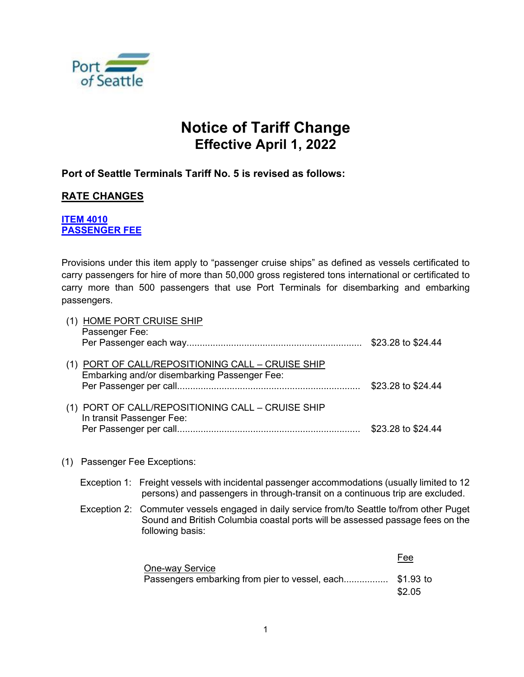

# **Notice of Tariff Change Effective April 1, 2022**

# **Port of Seattle Terminals Tariff No. 5 is revised as follows:**

# **RATE CHANGES**

## **ITEM 4010 PASSENGER FEE**

Provisions under this item apply to "passenger cruise ships" as defined as vessels certificated to carry passengers for hire of more than 50,000 gross registered tons international or certificated to carry more than 500 passengers that use Port Terminals for disembarking and embarking passengers.

| (1) HOME PORT CRUISE SHIP<br>Passenger Fee:                                                       | \$23.28 to \$24.44 |
|---------------------------------------------------------------------------------------------------|--------------------|
| (1) PORT OF CALL/REPOSITIONING CALL - CRUISE SHIP<br>Embarking and/or disembarking Passenger Fee: | \$23.28 to \$24.44 |
| (1) PORT OF CALL/REPOSITIONING CALL - CRUISE SHIP<br>In transit Passenger Fee:                    | \$23.28 to \$24.44 |

### (1) Passenger Fee Exceptions:

- Exception 1: Freight vessels with incidental passenger accommodations (usually limited to 12 persons) and passengers in through-transit on a continuous trip are excluded.
- Exception 2: Commuter vessels engaged in daily service from/to Seattle to/from other Puget Sound and British Columbia coastal ports will be assessed passage fees on the following basis:

Fee **One-way Service** Passengers embarking from pier to vessel, each........................\$1.93 to \$2.05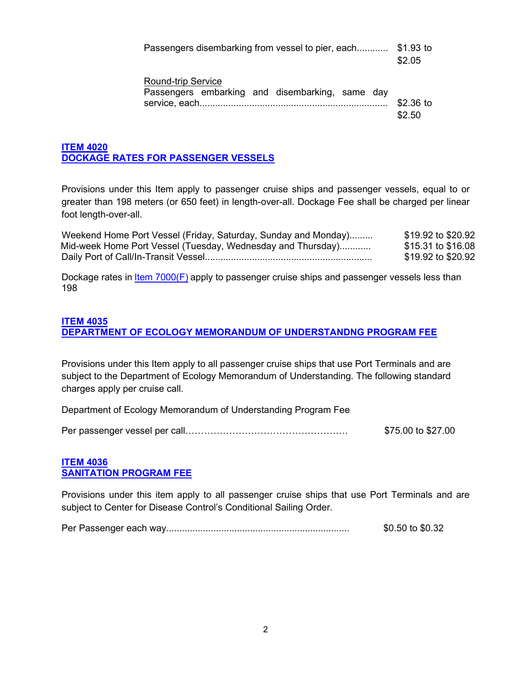Passengers disembarking from vessel to pier, each............ \$1.93 to \$2.05

| Round-trip Service |  |                                                 |  |        |
|--------------------|--|-------------------------------------------------|--|--------|
|                    |  | Passengers embarking and disembarking, same day |  |        |
|                    |  |                                                 |  |        |
|                    |  |                                                 |  | \$2.50 |

## **ITEM 4020 DOCKAGE RATES FOR PASSENGER VESSELS**

Provisions under this Item apply to passenger cruise ships and passenger vessels, equal to or greater than 198 meters (or 650 feet) in length-over-all. Dockage Fee shall be charged per linear foot length-over-all.

| Weekend Home Port Vessel (Friday, Saturday, Sunday and Monday) | \$19.92 to \$20.92 |
|----------------------------------------------------------------|--------------------|
| Mid-week Home Port Vessel (Tuesday, Wednesday and Thursday)    | \$15.31 to \$16.08 |
|                                                                | \$19.92 to \$20.92 |

Dockage rates in **Item 7000(F)** apply to passenger cruise ships and passenger vessels less than 198

### **ITEM 4035**

**DEPARTMENT OF ECOLOGY MEMORANDUM OF UNDERSTANDNG PROGRAM FEE**

Provisions under this Item apply to all passenger cruise ships that use Port Terminals and are subject to the Department of Ecology Memorandum of Understanding. The following standard charges apply per cruise call.

Department of Ecology Memorandum of Understanding Program Fee

|  | \$75.00 to \$27.00 |
|--|--------------------|
|--|--------------------|

#### **ITEM 4036 SANITATION PROGRAM FEE**

Provisions under this item apply to all passenger cruise ships that use Port Terminals and are subject to Center for Disease Control's Conditional Sailing Order.

Per Passenger each way...................................................................... \$0.50 to \$0.32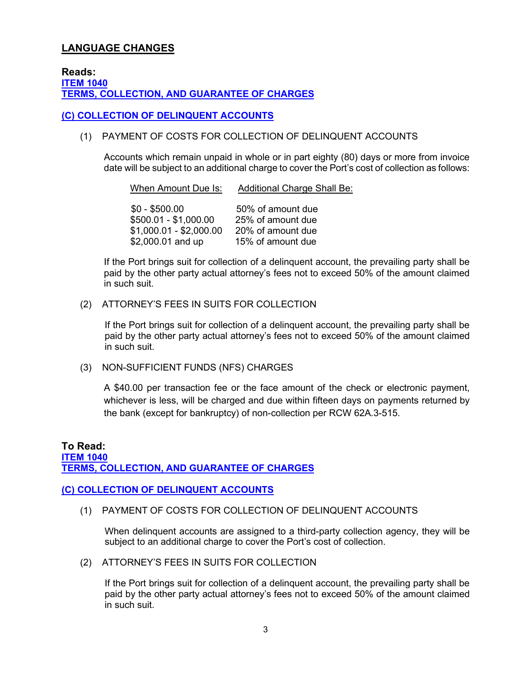# **LANGUAGE CHANGES**

**Reads: ITEM 1040 TERMS, COLLECTION, AND GUARANTEE OF CHARGES**

#### **(C) COLLECTION OF DELINQUENT ACCOUNTS**

#### (1) PAYMENT OF COSTS FOR COLLECTION OF DELINQUENT ACCOUNTS

Accounts which remain unpaid in whole or in part eighty (80) days or more from invoice date will be subject to an additional charge to cover the Port's cost of collection as follows:

When Amount Due Is: Additional Charge Shall Be:

| $$0 - $500.00$          | 50% of amount due |
|-------------------------|-------------------|
| \$500.01 - \$1,000.00   | 25% of amount due |
| $$1,000.01 - $2,000.00$ | 20% of amount due |
| \$2,000.01 and up       | 15% of amount due |

If the Port brings suit for collection of a delinquent account, the prevailing party shall be paid by the other party actual attorney's fees not to exceed 50% of the amount claimed in such suit.

#### (2) ATTORNEY'S FEES IN SUITS FOR COLLECTION

If the Port brings suit for collection of a delinquent account, the prevailing party shall be paid by the other party actual attorney's fees not to exceed 50% of the amount claimed in such suit.

(3) NON-SUFFICIENT FUNDS (NFS) CHARGES

A \$40.00 per transaction fee or the face amount of the check or electronic payment, whichever is less, will be charged and due within fifteen days on payments returned by the bank (except for bankruptcy) of non-collection per RCW 62A.3-515.

### **To Read: ITEM 1040 TERMS, COLLECTION, AND GUARANTEE OF CHARGES**

#### **(C) COLLECTION OF DELINQUENT ACCOUNTS**

(1) PAYMENT OF COSTS FOR COLLECTION OF DELINQUENT ACCOUNTS

When delinquent accounts are assigned to a third-party collection agency, they will be subject to an additional charge to cover the Port's cost of collection.

(2) ATTORNEY'S FEES IN SUITS FOR COLLECTION

If the Port brings suit for collection of a delinquent account, the prevailing party shall be paid by the other party actual attorney's fees not to exceed 50% of the amount claimed in such suit.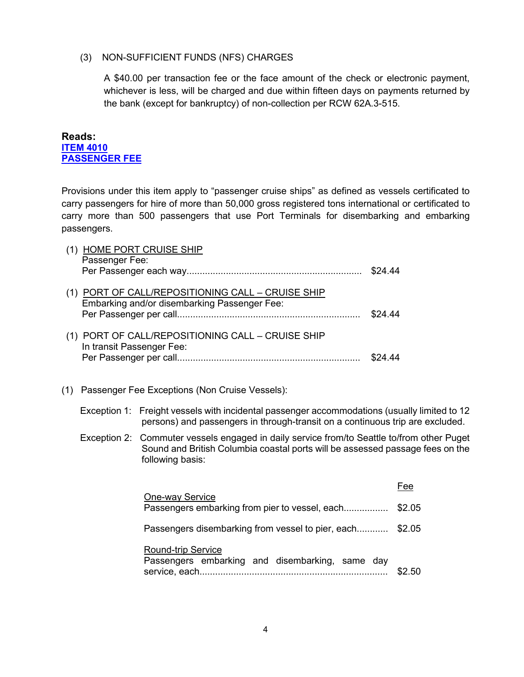#### (3) NON-SUFFICIENT FUNDS (NFS) CHARGES

A \$40.00 per transaction fee or the face amount of the check or electronic payment, whichever is less, will be charged and due within fifteen days on payments returned by the bank (except for bankruptcy) of non-collection per RCW 62A.3-515.

**Reads: ITEM 4010 PASSENGER FEE**

Provisions under this item apply to "passenger cruise ships" as defined as vessels certificated to carry passengers for hire of more than 50,000 gross registered tons international or certificated to carry more than 500 passengers that use Port Terminals for disembarking and embarking passengers.

|     |                           | (1) HOME PORT CRUISE SHIP                                                                                                                                                                       |         |
|-----|---------------------------|-------------------------------------------------------------------------------------------------------------------------------------------------------------------------------------------------|---------|
|     | Passenger Fee:            |                                                                                                                                                                                                 |         |
|     |                           | (1) PORT OF CALL/REPOSITIONING CALL - CRUISE SHIP<br>Embarking and/or disembarking Passenger Fee:                                                                                               | \$24.44 |
|     | In transit Passenger Fee: | (1) PORT OF CALL/REPOSITIONING CALL - CRUISE SHIP                                                                                                                                               |         |
| (1) |                           | Passenger Fee Exceptions (Non Cruise Vessels):                                                                                                                                                  |         |
|     |                           | Exception 1: Freight vessels with incidental passenger accommodations (usually limited to 12<br>persons) and passengers in through-transit on a continuous trip are excluded.                   |         |
|     |                           | Exception 2: Commuter vessels engaged in daily service from/to Seattle to/from other Puget<br>Sound and British Columbia coastal ports will be assessed passage fees on the<br>following basis: |         |
|     |                           |                                                                                                                                                                                                 | Fee     |
|     |                           | One-way Service<br>Passengers embarking from pier to vessel, each                                                                                                                               | \$2.05  |
|     |                           | Passengers disembarking from vessel to pier, each \$2.05                                                                                                                                        |         |
|     |                           | <b>Round-trip Service</b><br>Passengers embarking and disembarking, same day                                                                                                                    | \$2.50  |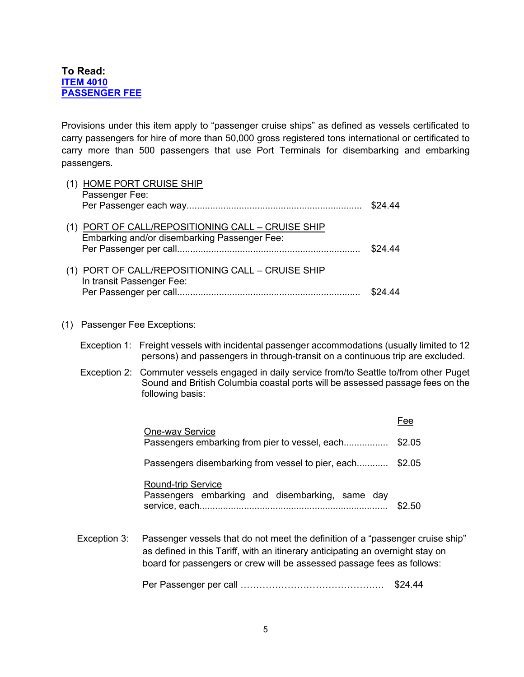## **To Read: ITEM 4010 PASSENGER FEE**

Provisions under this item apply to "passenger cruise ships" as defined as vessels certificated to carry passengers for hire of more than 50,000 gross registered tons international or certificated to carry more than 500 passengers that use Port Terminals for disembarking and embarking passengers.

| (1) HOME PORT CRUISE SHIP<br>Passenger Fee:       |         |
|---------------------------------------------------|---------|
|                                                   | \$24.44 |
| (1) PORT OF CALL/REPOSITIONING CALL - CRUISE SHIP |         |
| Embarking and/or disembarking Passenger Fee:      |         |
|                                                   | \$24.44 |
| (1) PORT OF CALL/REPOSITIONING CALL - CRUISE SHIP |         |
| In transit Passenger Fee:                         |         |
|                                                   |         |
|                                                   |         |

#### (1) Passenger Fee Exceptions:

- Exception 1: Freight vessels with incidental passenger accommodations (usually limited to 12 persons) and passengers in through-transit on a continuous trip are excluded.
- Exception 2: Commuter vessels engaged in daily service from/to Seattle to/from other Puget Sound and British Columbia coastal ports will be assessed passage fees on the following basis:

| One-way Service<br>Passengers embarking from pier to vessel, each            | \$2.05 |
|------------------------------------------------------------------------------|--------|
| Passengers disembarking from vessel to pier, each \$2.05                     |        |
| <b>Round-trip Service</b><br>Passengers embarking and disembarking, same day | S2 50  |

Exception 3: Passenger vessels that do not meet the definition of a "passenger cruise ship" as defined in this Tariff, with an itinerary anticipating an overnight stay on board for passengers or crew will be assessed passage fees as follows:

Per Passenger per call …………………………………….… \$24.44